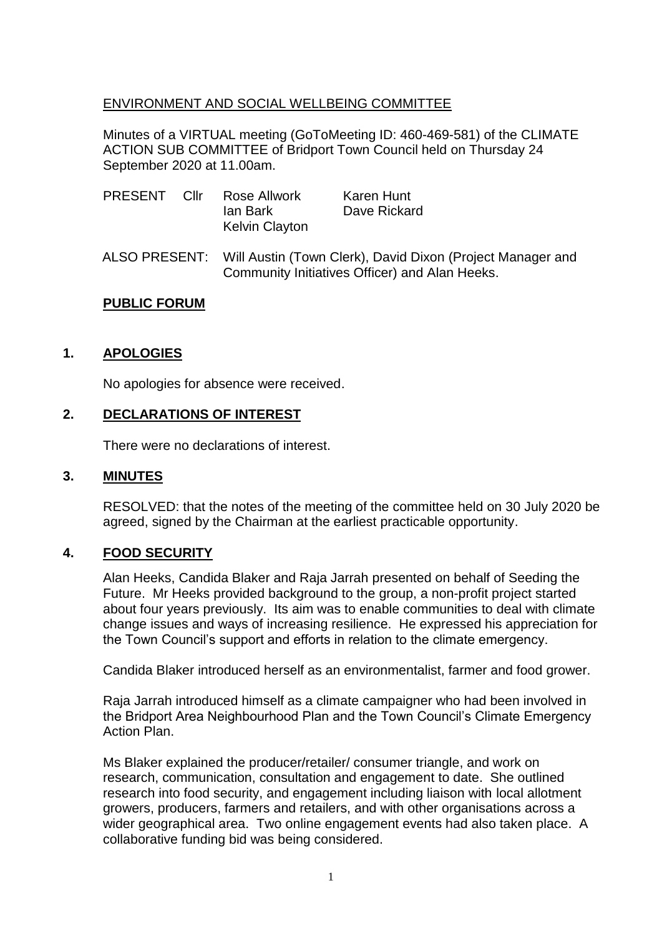## ENVIRONMENT AND SOCIAL WELLBEING COMMITTEE

Minutes of a VIRTUAL meeting (GoToMeeting ID: 460-469-581) of the CLIMATE ACTION SUB COMMITTEE of Bridport Town Council held on Thursday 24 September 2020 at 11.00am.

| PRESENT Cllr |  | Rose Allwork<br>lan Bark<br><b>Kelvin Clayton</b>                                                                          | Karen Hunt<br>Dave Rickard |
|--------------|--|----------------------------------------------------------------------------------------------------------------------------|----------------------------|
|              |  | ALSO PRESENT: Will Austin (Town Clerk), David Dixon (Project Manager and<br>Community Initiatives Officer) and Alan Heeks. |                            |

#### **PUBLIC FORUM**

#### **1. APOLOGIES**

No apologies for absence were received.

#### **2. DECLARATIONS OF INTEREST**

There were no declarations of interest.

#### **3. MINUTES**

RESOLVED: that the notes of the meeting of the committee held on 30 July 2020 be agreed, signed by the Chairman at the earliest practicable opportunity.

#### **4. FOOD SECURITY**

Alan Heeks, Candida Blaker and Raja Jarrah presented on behalf of Seeding the Future. Mr Heeks provided background to the group, a non-profit project started about four years previously. Its aim was to enable communities to deal with climate change issues and ways of increasing resilience. He expressed his appreciation for the Town Council's support and efforts in relation to the climate emergency.

Candida Blaker introduced herself as an environmentalist, farmer and food grower.

Raja Jarrah introduced himself as a climate campaigner who had been involved in the Bridport Area Neighbourhood Plan and the Town Council's Climate Emergency Action Plan.

Ms Blaker explained the producer/retailer/ consumer triangle, and work on research, communication, consultation and engagement to date. She outlined research into food security, and engagement including liaison with local allotment growers, producers, farmers and retailers, and with other organisations across a wider geographical area. Two online engagement events had also taken place. A collaborative funding bid was being considered.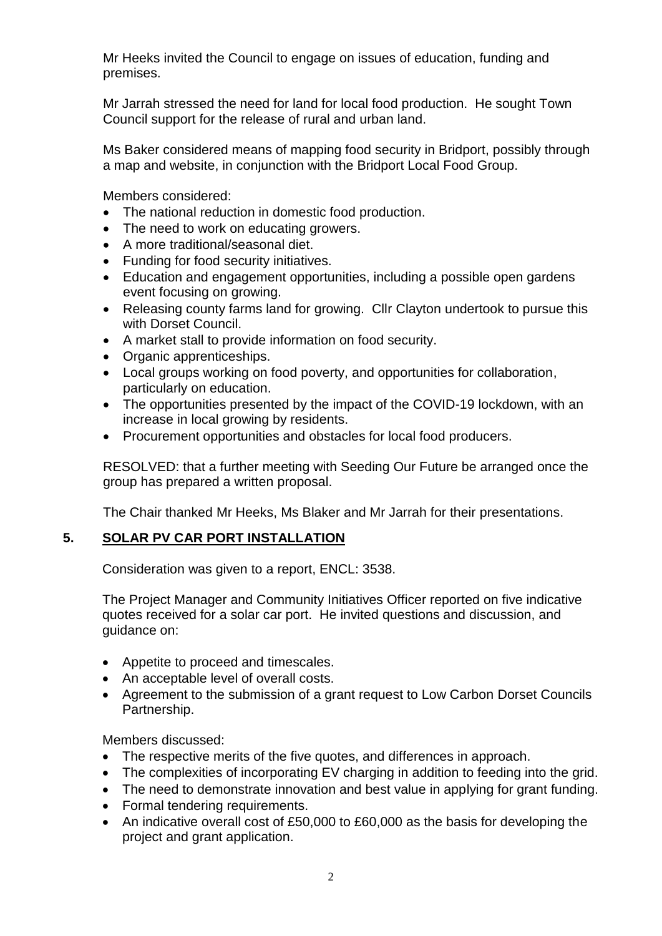Mr Heeks invited the Council to engage on issues of education, funding and premises.

Mr Jarrah stressed the need for land for local food production. He sought Town Council support for the release of rural and urban land.

Ms Baker considered means of mapping food security in Bridport, possibly through a map and website, in conjunction with the Bridport Local Food Group.

Members considered:

- The national reduction in domestic food production.
- The need to work on educating growers.
- A more traditional/seasonal diet.
- Funding for food security initiatives.
- Education and engagement opportunities, including a possible open gardens event focusing on growing.
- Releasing county farms land for growing. Cllr Clayton undertook to pursue this with Dorset Council.
- A market stall to provide information on food security.
- Organic apprenticeships.
- Local groups working on food poverty, and opportunities for collaboration, particularly on education.
- The opportunities presented by the impact of the COVID-19 lockdown, with an increase in local growing by residents.
- Procurement opportunities and obstacles for local food producers.

RESOLVED: that a further meeting with Seeding Our Future be arranged once the group has prepared a written proposal.

The Chair thanked Mr Heeks, Ms Blaker and Mr Jarrah for their presentations.

## **5. SOLAR PV CAR PORT INSTALLATION**

Consideration was given to a report, ENCL: 3538.

The Project Manager and Community Initiatives Officer reported on five indicative quotes received for a solar car port. He invited questions and discussion, and guidance on:

- Appetite to proceed and timescales.
- An acceptable level of overall costs.
- Agreement to the submission of a grant request to Low Carbon Dorset Councils Partnership.

Members discussed:

- The respective merits of the five quotes, and differences in approach.
- The complexities of incorporating EV charging in addition to feeding into the grid.
- The need to demonstrate innovation and best value in applying for grant funding.
- Formal tendering requirements.
- An indicative overall cost of £50,000 to £60,000 as the basis for developing the project and grant application.